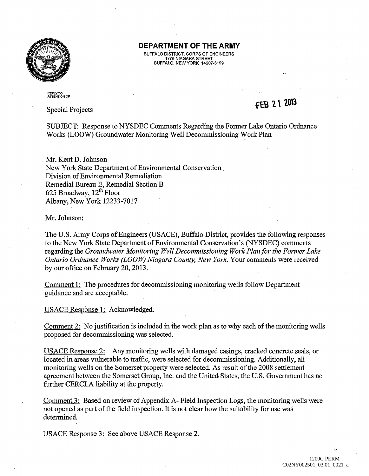

## **DEPARTMENT OF THE ARMY**

BUFFALO DISTRICT, CORPS OF ENGINEERS 1776 NIAGARA STREET BUFFALO, NEW YORK 14207-3199

REPLY TO<br>ATTENTION OF

Special Projects

## **FEB 21 2013**

SUBJECT: Response to NYSDEC Comments Regarding the Fonner Lake Ontario Ordnance Works (LOOW) Groundwater Monitoring Well Decommissioning Work Plan

. Mr. Kent D. Johnson New York State Department of Environmental Conservation. Division of Environmental Remediation Remedial Bureau E, Remedial Section B 625 Broadway, 12<sup>th</sup> Floor Albany, New York 12233-7017

Mr. Johnson:

The U.S. Army Corps of Engineers (USACE), Buffalo District, provides the following responses to the New York State Department of Environmental Conservation's (NYSDEC) comments regarding the *Groundwater Monitoring Well Decommissioning Work Plan for the Former Lake Ontario Ordnance Works (LOOW) Niagara County, New York.* Your comments were received by our office on February 20, 2013.

Comment 1: The procedures for decommissioning monitoring wells follow Department guidance and are acceptable.

USACE Response 1: Acknowledged.

Comment 2: No justification is included in the work plan as to why each of the monitoring wells proposed for decommissioning was selected.

USACE Response 2: Any monitoring wells with damaged casings, cracked concrete seals, or located in areas vulnerable to traffic, were selected for decommissioning. Additionally, all monitoring wells on the Somerset property were selected. As result of the 2008 settlement agreement between the Somerset Group, Inc. and the United States, the U.S. Government has no further CERCLA liability at the property.

Comment 3: Based on review of Appendix A- Field Inspection Logs, the monitoring wells were not opened as part of the field inspection. It is not clear how the suitability for use was determined.

USACE Response 3: See above USACE Response 2.